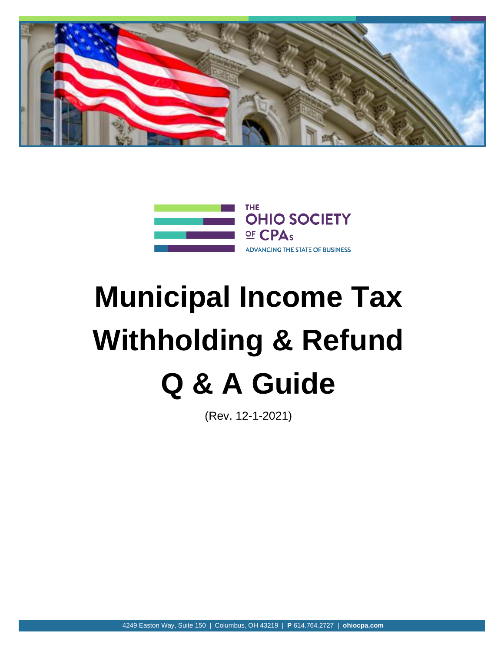



# **Municipal Income Tax Withholding & Refund Q & A Guide**

(Rev. 12-1-2021)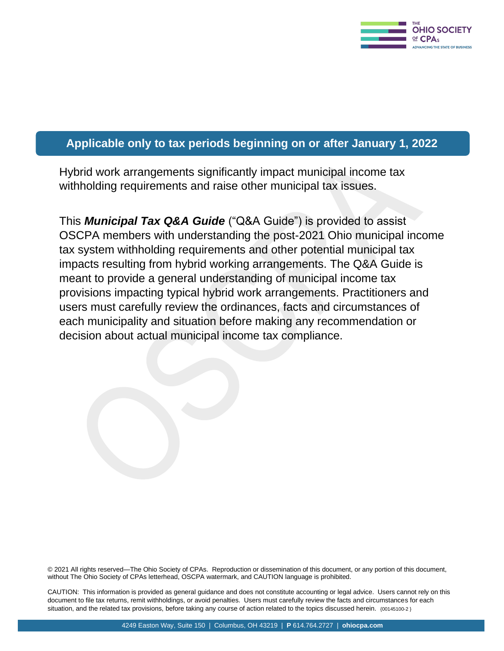

### **Applicable only to tax periods beginning on or after January 1, 2022**

Hybrid work arrangements significantly impact municipal income tax withholding requirements and raise other municipal tax issues.

This *Municipal Tax Q&A Guide* ("Q&A Guide") is provided to assist OSCPA members with understanding the post-2021 Ohio municipal income tax system withholding requirements and other potential municipal tax impacts resulting from hybrid working arrangements. The Q&A Guide is meant to provide a general understanding of municipal income tax provisions impacting typical hybrid work arrangements. Practitioners and users must carefully review the ordinances, facts and circumstances of each municipality and situation before making any recommendation or decision about actual municipal income tax compliance.

© 2021 All rights reserved—The Ohio Society of CPAs. Reproduction or dissemination of this document, or any portion of this document, without The Ohio Society of CPAs letterhead, OSCPA watermark, and CAUTION language is prohibited.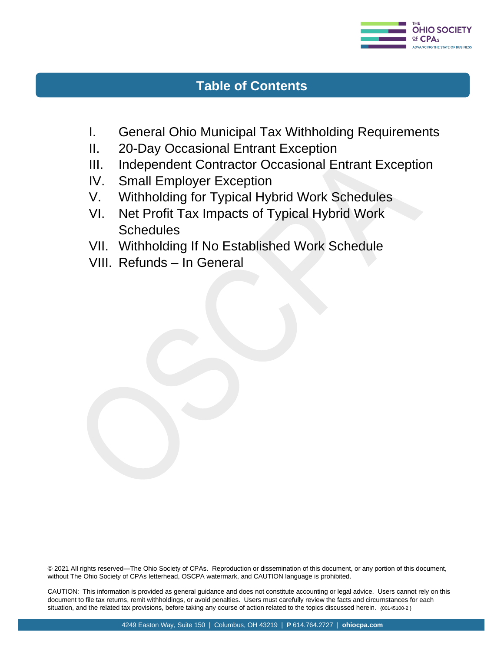

## **Table of Contents**

- I. General Ohio Municipal Tax Withholding Requirements
- II. 20-Day Occasional Entrant Exception
- III. Independent Contractor Occasional Entrant Exception
- IV. Small Employer Exception
- V. Withholding for Typical Hybrid Work Schedules
- VI. Net Profit Tax Impacts of Typical Hybrid Work **Schedules**
- VII. Withholding If No Established Work Schedule
- VIII. Refunds In General

© 2021 All rights reserved—The Ohio Society of CPAs. Reproduction or dissemination of this document, or any portion of this document, without The Ohio Society of CPAs letterhead, OSCPA watermark, and CAUTION language is prohibited.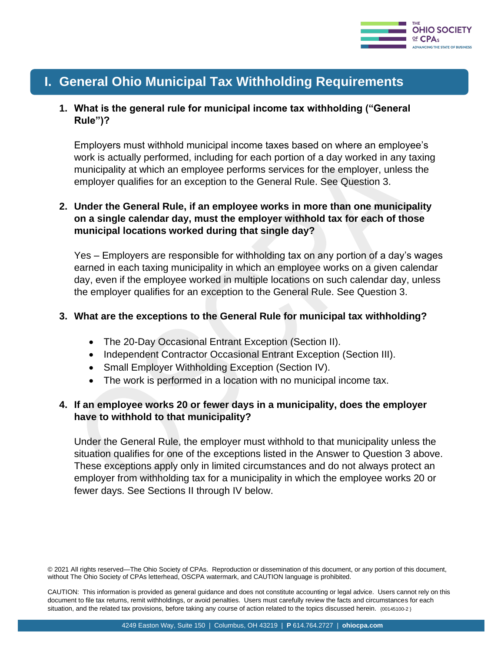

# **I. General Ohio Municipal Tax Withholding Requirements**

#### **1. What is the general rule for municipal income tax withholding ("General Rule")?**

Employers must withhold municipal income taxes based on where an employee's work is actually performed, including for each portion of a day worked in any taxing municipality at which an employee performs services for the employer, unless the employer qualifies for an exception to the General Rule. See Question 3.

#### **2. Under the General Rule, if an employee works in more than one municipality on a single calendar day, must the employer withhold tax for each of those municipal locations worked during that single day?**

Yes – Employers are responsible for withholding tax on any portion of a day's wages earned in each taxing municipality in which an employee works on a given calendar day, even if the employee worked in multiple locations on such calendar day, unless the employer qualifies for an exception to the General Rule. See Question 3.

#### **3. What are the exceptions to the General Rule for municipal tax withholding?**

- The 20-Day Occasional Entrant Exception (Section II).
- Independent Contractor Occasional Entrant Exception (Section III).
- Small Employer Withholding Exception (Section IV).
- The work is performed in a location with no municipal income tax.

#### **4. If an employee works 20 or fewer days in a municipality, does the employer have to withhold to that municipality?**

Under the General Rule, the employer must withhold to that municipality unless the situation qualifies for one of the exceptions listed in the Answer to Question 3 above. These exceptions apply only in limited circumstances and do not always protect an employer from withholding tax for a municipality in which the employee works 20 or fewer days. See Sections II through IV below.

© 2021 All rights reserved—The Ohio Society of CPAs. Reproduction or dissemination of this document, or any portion of this document, without The Ohio Society of CPAs letterhead, OSCPA watermark, and CAUTION language is prohibited.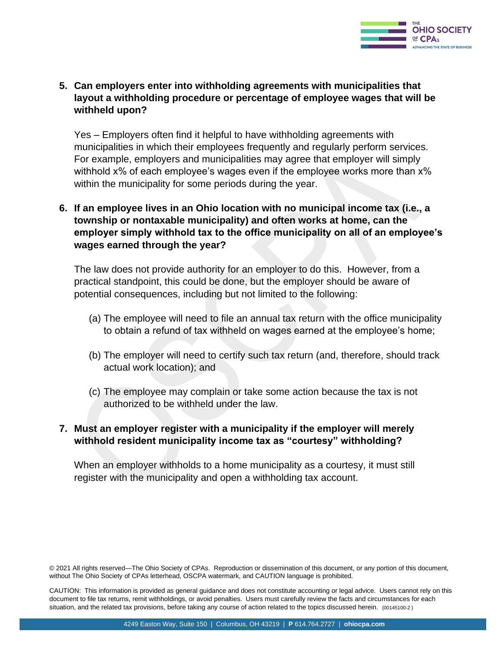

#### **5. Can employers enter into withholding agreements with municipalities that layout a withholding procedure or percentage of employee wages that will be withheld upon?**

Yes – Employers often find it helpful to have withholding agreements with municipalities in which their employees frequently and regularly perform services. For example, employers and municipalities may agree that employer will simply withhold x% of each employee's wages even if the employee works more than x% within the municipality for some periods during the year.

#### **6. If an employee lives in an Ohio location with no municipal income tax (i.e., a township or nontaxable municipality) and often works at home, can the employer simply withhold tax to the office municipality on all of an employee's wages earned through the year?**

The law does not provide authority for an employer to do this. However, from a practical standpoint, this could be done, but the employer should be aware of potential consequences, including but not limited to the following:

- (a) The employee will need to file an annual tax return with the office municipality to obtain a refund of tax withheld on wages earned at the employee's home;
- (b) The employer will need to certify such tax return (and, therefore, should track actual work location); and
- (c) The employee may complain or take some action because the tax is not authorized to be withheld under the law.

#### **7. Must an employer register with a municipality if the employer will merely withhold resident municipality income tax as "courtesy" withholding?**

When an employer withholds to a home municipality as a courtesy, it must still register with the municipality and open a withholding tax account.

<sup>© 2021</sup> All rights reserved—The Ohio Society of CPAs. Reproduction or dissemination of this document, or any portion of this document, without The Ohio Society of CPAs letterhead, OSCPA watermark, and CAUTION language is prohibited.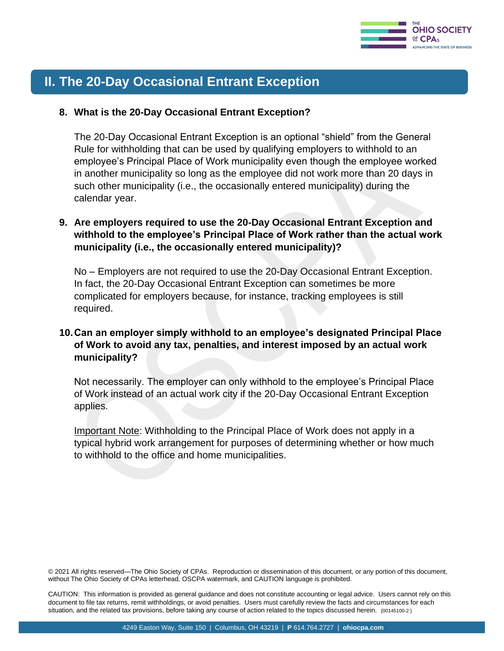

# **II. The 20-Day Occasional Entrant Exception**

#### **8. What is the 20-Day Occasional Entrant Exception?**

The 20-Day Occasional Entrant Exception is an optional "shield" from the General Rule for withholding that can be used by qualifying employers to withhold to an employee's Principal Place of Work municipality even though the employee worked in another municipality so long as the employee did not work more than 20 days in such other municipality (i.e., the occasionally entered municipality) during the calendar year.

#### **9. Are employers required to use the 20-Day Occasional Entrant Exception and withhold to the employee's Principal Place of Work rather than the actual work municipality (i.e., the occasionally entered municipality)?**

No – Employers are not required to use the 20-Day Occasional Entrant Exception. In fact, the 20-Day Occasional Entrant Exception can sometimes be more complicated for employers because, for instance, tracking employees is still required.

#### **10.Can an employer simply withhold to an employee's designated Principal Place of Work to avoid any tax, penalties, and interest imposed by an actual work municipality?**

Not necessarily. The employer can only withhold to the employee's Principal Place of Work instead of an actual work city if the 20-Day Occasional Entrant Exception applies.

Important Note: Withholding to the Principal Place of Work does not apply in a typical hybrid work arrangement for purposes of determining whether or how much to withhold to the office and home municipalities.

© 2021 All rights reserved—The Ohio Society of CPAs. Reproduction or dissemination of this document, or any portion of this document, without The Ohio Society of CPAs letterhead, OSCPA watermark, and CAUTION language is prohibited.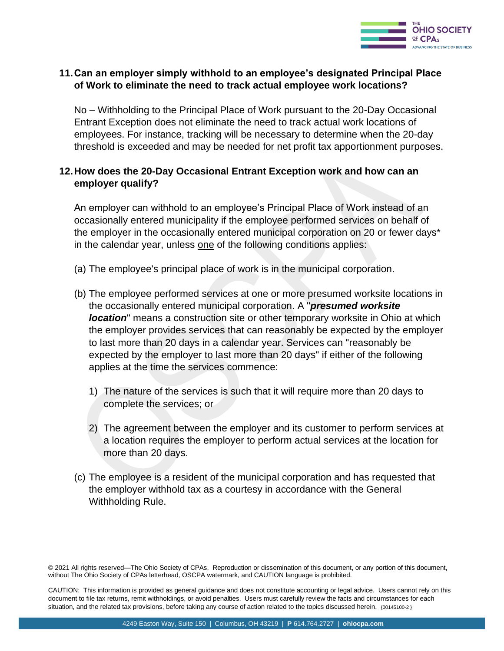

#### **11.Can an employer simply withhold to an employee's designated Principal Place of Work to eliminate the need to track actual employee work locations?**

No – Withholding to the Principal Place of Work pursuant to the 20-Day Occasional Entrant Exception does not eliminate the need to track actual work locations of employees. For instance, tracking will be necessary to determine when the 20-day threshold is exceeded and may be needed for net profit tax apportionment purposes.

#### **12.How does the 20-Day Occasional Entrant Exception work and how can an employer qualify?**

An employer can withhold to an employee's Principal Place of Work instead of an occasionally entered municipality if the employee performed services on behalf of the employer in the occasionally entered municipal corporation on 20 or fewer days\* in the calendar year, unless one of the following conditions applies:

- (a) The employee's principal place of work is in the municipal corporation.
- (b) The employee performed services at one or more presumed worksite locations in the occasionally entered municipal corporation. A "*presumed worksite location*" means a construction site or other temporary worksite in Ohio at which the employer provides services that can reasonably be expected by the employer to last more than 20 days in a calendar year. Services can "reasonably be expected by the employer to last more than 20 days" if either of the following applies at the time the services commence:
	- 1) The nature of the services is such that it will require more than 20 days to complete the services; or
	- 2) The agreement between the employer and its customer to perform services at a location requires the employer to perform actual services at the location for more than 20 days.
- (c) The employee is a resident of the municipal corporation and has requested that the employer withhold tax as a courtesy in accordance with the General Withholding Rule.

© 2021 All rights reserved—The Ohio Society of CPAs. Reproduction or dissemination of this document, or any portion of this document, without The Ohio Society of CPAs letterhead, OSCPA watermark, and CAUTION language is prohibited.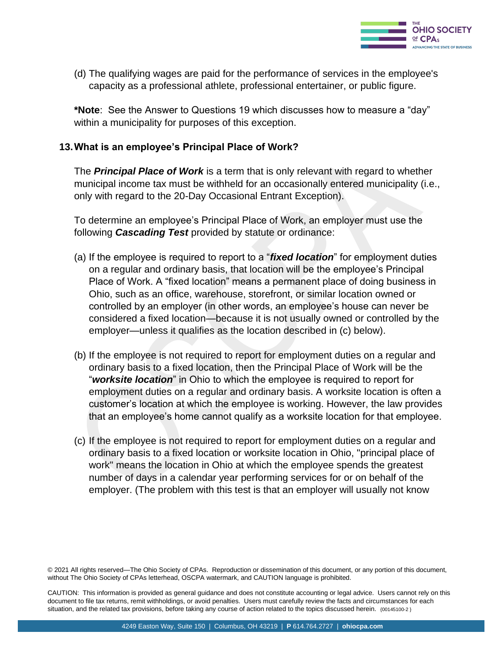

(d) The qualifying wages are paid for the performance of services in the employee's capacity as a professional athlete, professional entertainer, or public figure.

**\*Note**: See the Answer to Questions 19 which discusses how to measure a "day" within a municipality for purposes of this exception.

#### **13.What is an employee's Principal Place of Work?**

The *Principal Place of Work* is a term that is only relevant with regard to whether municipal income tax must be withheld for an occasionally entered municipality (i.e., only with regard to the 20-Day Occasional Entrant Exception).

To determine an employee's Principal Place of Work, an employer must use the following *Cascading Test* provided by statute or ordinance:

- (a) If the employee is required to report to a "*fixed location*" for employment duties on a regular and ordinary basis, that location will be the employee's Principal Place of Work. A "fixed location" means a permanent place of doing business in Ohio, such as an office, warehouse, storefront, or similar location owned or controlled by an employer (in other words, an employee's house can never be considered a fixed location—because it is not usually owned or controlled by the employer—unless it qualifies as the location described in (c) below).
- (b) If the employee is not required to report for employment duties on a regular and ordinary basis to a fixed location, then the Principal Place of Work will be the "*worksite location*" in Ohio to which the employee is required to report for employment duties on a regular and ordinary basis. A worksite location is often a customer's location at which the employee is working. However, the law provides that an employee's home cannot qualify as a worksite location for that employee.
- (c) If the employee is not required to report for employment duties on a regular and ordinary basis to a fixed location or worksite location in Ohio, "principal place of work" means the location in Ohio at which the employee spends the greatest number of days in a calendar year performing services for or on behalf of the employer. (The problem with this test is that an employer will usually not know

© 2021 All rights reserved—The Ohio Society of CPAs. Reproduction or dissemination of this document, or any portion of this document, without The Ohio Society of CPAs letterhead, OSCPA watermark, and CAUTION language is prohibited.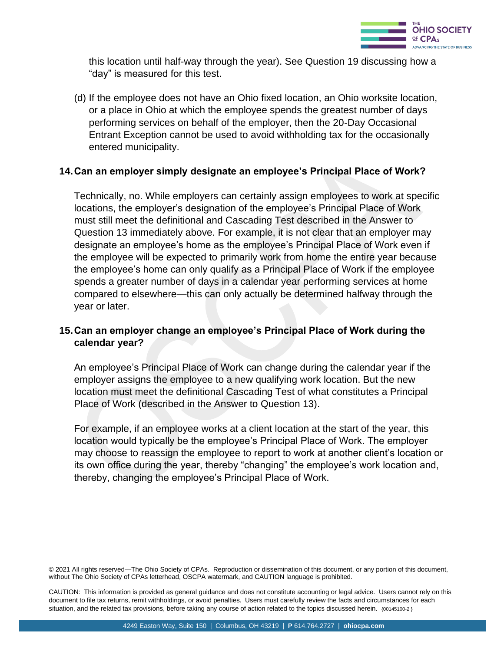

this location until half-way through the year). See Question 19 discussing how a "day" is measured for this test.

(d) If the employee does not have an Ohio fixed location, an Ohio worksite location, or a place in Ohio at which the employee spends the greatest number of days performing services on behalf of the employer, then the 20-Day Occasional Entrant Exception cannot be used to avoid withholding tax for the occasionally entered municipality.

#### **14.Can an employer simply designate an employee's Principal Place of Work?**

Technically, no. While employers can certainly assign employees to work at specific locations, the employer's designation of the employee's Principal Place of Work must still meet the definitional and Cascading Test described in the Answer to Question 13 immediately above. For example, it is not clear that an employer may designate an employee's home as the employee's Principal Place of Work even if the employee will be expected to primarily work from home the entire year because the employee's home can only qualify as a Principal Place of Work if the employee spends a greater number of days in a calendar year performing services at home compared to elsewhere—this can only actually be determined halfway through the year or later.

#### **15.Can an employer change an employee's Principal Place of Work during the calendar year?**

An employee's Principal Place of Work can change during the calendar year if the employer assigns the employee to a new qualifying work location. But the new location must meet the definitional Cascading Test of what constitutes a Principal Place of Work (described in the Answer to Question 13).

For example, if an employee works at a client location at the start of the year, this location would typically be the employee's Principal Place of Work. The employer may choose to reassign the employee to report to work at another client's location or its own office during the year, thereby "changing" the employee's work location and, thereby, changing the employee's Principal Place of Work.

without The Ohio Society of CPAs letterhead, OSCPA watermark, and CAUTION language is prohibited.<br>. © 2021 All rights reserved—The Ohio Society of CPAs. Reproduction or dissemination of this document, or any portion of this document,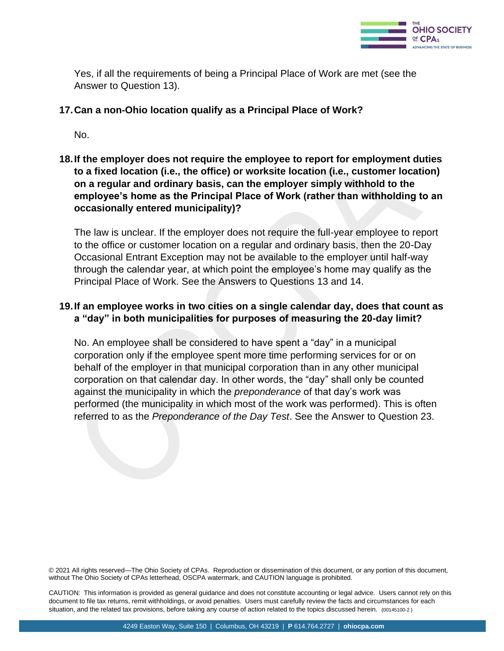

Yes, if all the requirements of being a Principal Place of Work are met (see the Answer to Question 13).

#### **17.Can a non-Ohio location qualify as a Principal Place of Work?**

No.

**18.If the employer does not require the employee to report for employment duties to a fixed location (i.e., the office) or worksite location (i.e., customer location) on a regular and ordinary basis, can the employer simply withhold to the employee's home as the Principal Place of Work (rather than withholding to an occasionally entered municipality)?**

The law is unclear. If the employer does not require the full-year employee to report to the office or customer location on a regular and ordinary basis, then the 20-Day Occasional Entrant Exception may not be available to the employer until half-way through the calendar year, at which point the employee's home may qualify as the Principal Place of Work. See the Answers to Questions 13 and 14.

#### **19.If an employee works in two cities on a single calendar day, does that count as a "day" in both municipalities for purposes of measuring the 20-day limit?**

No. An employee shall be considered to have spent a "day" in a municipal corporation only if the employee spent more time performing services for or on behalf of the employer in that municipal corporation than in any other municipal corporation on that calendar day. In other words, the "day" shall only be counted against the municipality in which the *preponderance* of that day's work was performed (the municipality in which most of the work was performed). This is often referred to as the *Preponderance of the Day Test*. See the Answer to Question 23.

© 2021 All rights reserved—The Ohio Society of CPAs. Reproduction or dissemination of this document, or any portion of this document, without The Ohio Society of CPAs letterhead, OSCPA watermark, and CAUTION language is prohibited.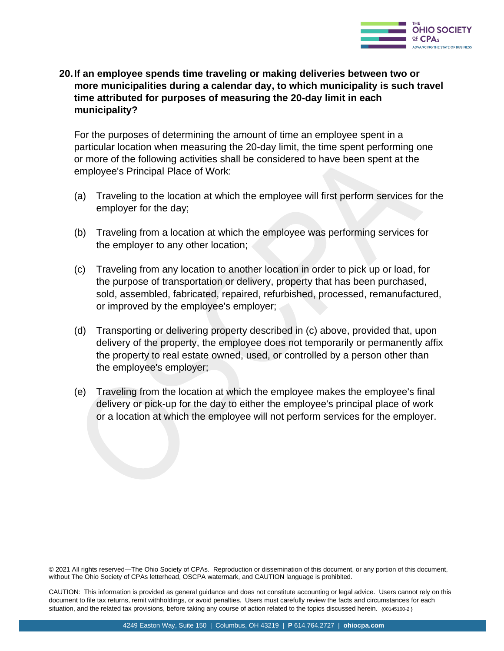

**20.If an employee spends time traveling or making deliveries between two or more municipalities during a calendar day, to which municipality is such travel time attributed for purposes of measuring the 20-day limit in each municipality?** 

For the purposes of determining the amount of time an employee spent in a particular location when measuring the 20-day limit, the time spent performing one or more of the following activities shall be considered to have been spent at the employee's Principal Place of Work:

- (a) Traveling to the location at which the employee will first perform services for the employer for the day;
- (b) Traveling from a location at which the employee was performing services for the employer to any other location;
- (c) Traveling from any location to another location in order to pick up or load, for the purpose of transportation or delivery, property that has been purchased, sold, assembled, fabricated, repaired, refurbished, processed, remanufactured, or improved by the employee's employer;
- (d) Transporting or delivering property described in (c) above, provided that, upon delivery of the property, the employee does not temporarily or permanently affix the property to real estate owned, used, or controlled by a person other than the employee's employer;
- (e) Traveling from the location at which the employee makes the employee's final delivery or pick-up for the day to either the employee's principal place of work or a location at which the employee will not perform services for the employer.

© 2021 All rights reserved—The Ohio Society of CPAs. Reproduction or dissemination of this document, or any portion of this document, without The Ohio Society of CPAs letterhead, OSCPA watermark, and CAUTION language is prohibited.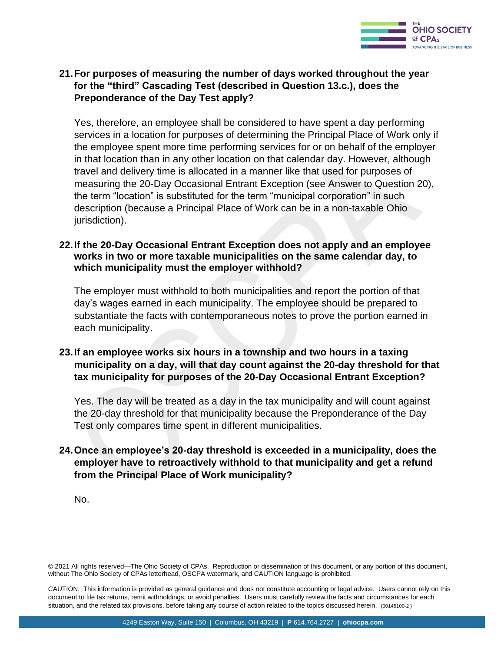

#### **21.For purposes of measuring the number of days worked throughout the year for the "third" Cascading Test (described in Question 13.c.), does the Preponderance of the Day Test apply?**

Yes, therefore, an employee shall be considered to have spent a day performing services in a location for purposes of determining the Principal Place of Work only if the employee spent more time performing services for or on behalf of the employer in that location than in any other location on that calendar day. However, although travel and delivery time is allocated in a manner like that used for purposes of measuring the 20-Day Occasional Entrant Exception (see Answer to Question 20), the term "location" is substituted for the term "municipal corporation" in such description (because a Principal Place of Work can be in a non-taxable Ohio jurisdiction).

#### **22.If the 20-Day Occasional Entrant Exception does not apply and an employee works in two or more taxable municipalities on the same calendar day, to which municipality must the employer withhold?**

The employer must withhold to both municipalities and report the portion of that day's wages earned in each municipality. The employee should be prepared to substantiate the facts with contemporaneous notes to prove the portion earned in each municipality.

#### **23.If an employee works six hours in a township and two hours in a taxing municipality on a day, will that day count against the 20-day threshold for that tax municipality for purposes of the 20-Day Occasional Entrant Exception?**

Yes. The day will be treated as a day in the tax municipality and will count against the 20-day threshold for that municipality because the Preponderance of the Day Test only compares time spent in different municipalities.

#### **24.Once an employee's 20-day threshold is exceeded in a municipality, does the employer have to retroactively withhold to that municipality and get a refund from the Principal Place of Work municipality?**

No.

© 2021 All rights reserved—The Ohio Society of CPAs. Reproduction or dissemination of this document, or any portion of this document, without The Ohio Society of CPAs letterhead, OSCPA watermark, and CAUTION language is prohibited.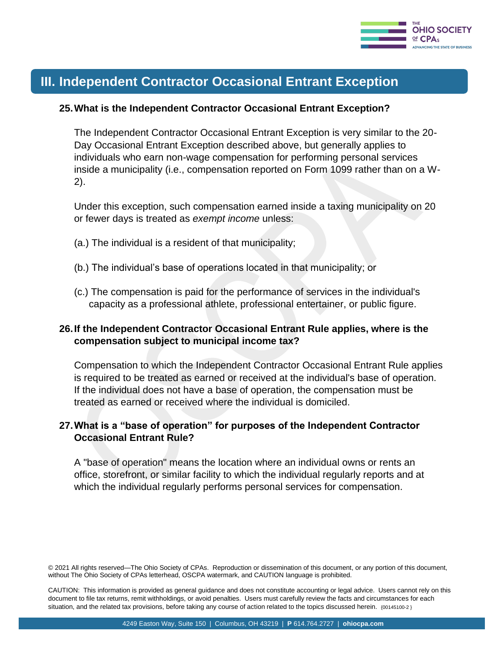

# **III. Independent Contractor Occasional Entrant Exception**

#### **25.What is the Independent Contractor Occasional Entrant Exception?**

The Independent Contractor Occasional Entrant Exception is very similar to the 20- Day Occasional Entrant Exception described above, but generally applies to individuals who earn non-wage compensation for performing personal services inside a municipality (i.e., compensation reported on Form 1099 rather than on a W-2).

Under this exception, such compensation earned inside a taxing municipality on 20 or fewer days is treated as *exempt income* unless:

- (a.) The individual is a resident of that municipality;
- (b.) The individual's base of operations located in that municipality; or
- (c.) The compensation is paid for the performance of services in the individual's capacity as a professional athlete, professional entertainer, or public figure.

#### **26.If the Independent Contractor Occasional Entrant Rule applies, where is the compensation subject to municipal income tax?**

Compensation to which the Independent Contractor Occasional Entrant Rule applies is required to be treated as earned or received at the individual's base of operation. If the individual does not have a base of operation, the compensation must be treated as earned or received where the individual is domiciled.

#### **27.What is a "base of operation" for purposes of the Independent Contractor Occasional Entrant Rule?**

A "base of operation" means the location where an individual owns or rents an office, storefront, or similar facility to which the individual regularly reports and at which the individual regularly performs personal services for compensation.

© 2021 All rights reserved—The Ohio Society of CPAs. Reproduction or dissemination of this document, or any portion of this document, without The Ohio Society of CPAs letterhead, OSCPA watermark, and CAUTION language is prohibited.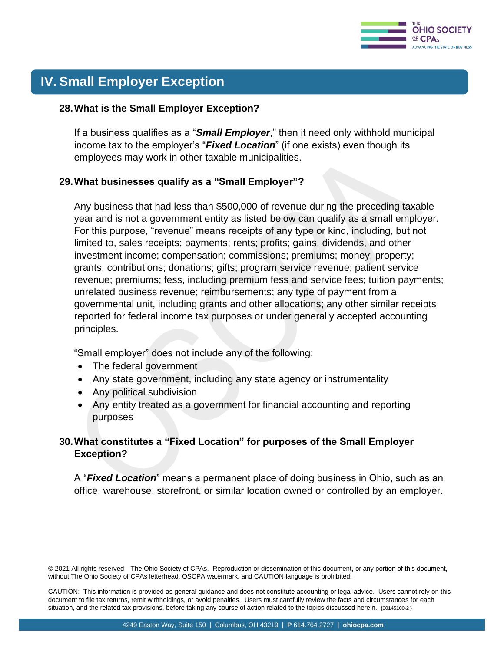

# **IV. Small Employer Exception**

#### **28.What is the Small Employer Exception?**

If a business qualifies as a "*Small Employer*," then it need only withhold municipal income tax to the employer's "*Fixed Location*" (if one exists) even though its employees may work in other taxable municipalities.

#### **29.What businesses qualify as a "Small Employer"?**

Any business that had less than \$500,000 of revenue during the preceding taxable year and is not a government entity as listed below can qualify as a small employer. For this purpose, "revenue" means receipts of any type or kind, including, but not limited to, sales receipts; payments; rents; profits; gains, dividends, and other investment income; compensation; commissions; premiums; money; property; grants; contributions; donations; gifts; program service revenue; patient service revenue; premiums; fess, including premium fess and service fees; tuition payments; unrelated business revenue; reimbursements; any type of payment from a governmental unit, including grants and other allocations; any other similar receipts reported for federal income tax purposes or under generally accepted accounting principles.

"Small employer" does not include any of the following:

- The federal government
- Any state government, including any state agency or instrumentality
- Any political subdivision
- Any entity treated as a government for financial accounting and reporting purposes

#### **30.What constitutes a "Fixed Location" for purposes of the Small Employer Exception?**

A "*Fixed Location*" means a permanent place of doing business in Ohio, such as an office, warehouse, storefront, or similar location owned or controlled by an employer.

© 2021 All rights reserved—The Ohio Society of CPAs. Reproduction or dissemination of this document, or any portion of this document, without The Ohio Society of CPAs letterhead, OSCPA watermark, and CAUTION language is prohibited.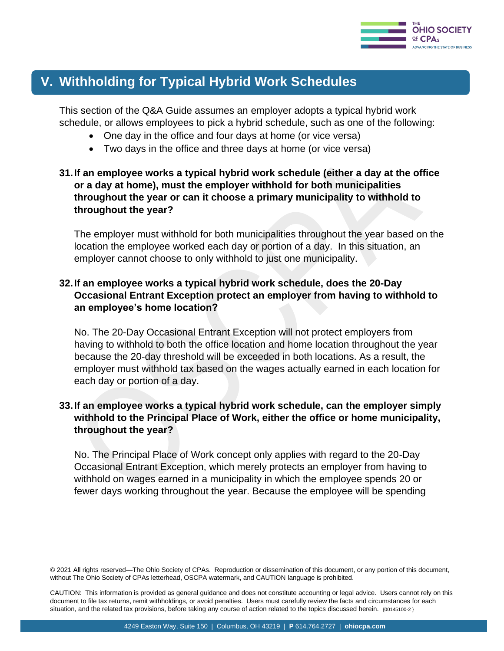

# **V. Withholding for Typical Hybrid Work Schedules**

This section of the Q&A Guide assumes an employer adopts a typical hybrid work schedule, or allows employees to pick a hybrid schedule, such as one of the following:

- One day in the office and four days at home (or vice versa)
- Two days in the office and three days at home (or vice versa)

#### **31.If an employee works a typical hybrid work schedule (either a day at the office or a day at home), must the employer withhold for both municipalities throughout the year or can it choose a primary municipality to withhold to throughout the year?**

The employer must withhold for both municipalities throughout the year based on the location the employee worked each day or portion of a day. In this situation, an employer cannot choose to only withhold to just one municipality.

#### **32.If an employee works a typical hybrid work schedule, does the 20-Day Occasional Entrant Exception protect an employer from having to withhold to an employee's home location?**

No. The 20-Day Occasional Entrant Exception will not protect employers from having to withhold to both the office location and home location throughout the year because the 20-day threshold will be exceeded in both locations. As a result, the employer must withhold tax based on the wages actually earned in each location for each day or portion of a day.

#### **33.If an employee works a typical hybrid work schedule, can the employer simply withhold to the Principal Place of Work, either the office or home municipality, throughout the year?**

No. The Principal Place of Work concept only applies with regard to the 20-Day Occasional Entrant Exception, which merely protects an employer from having to withhold on wages earned in a municipality in which the employee spends 20 or fewer days working throughout the year. Because the employee will be spending

<sup>© 2021</sup> All rights reserved—The Ohio Society of CPAs. Reproduction or dissemination of this document, or any portion of this document, without The Ohio Society of CPAs letterhead, OSCPA watermark, and CAUTION language is prohibited.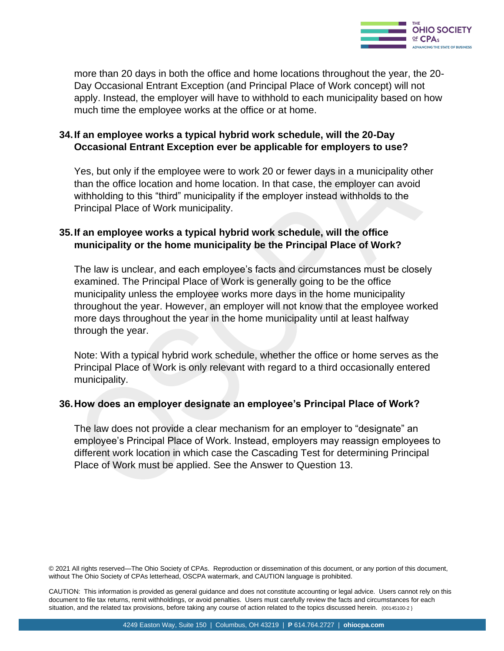

more than 20 days in both the office and home locations throughout the year, the 20- Day Occasional Entrant Exception (and Principal Place of Work concept) will not apply. Instead, the employer will have to withhold to each municipality based on how much time the employee works at the office or at home.

#### **34.If an employee works a typical hybrid work schedule, will the 20-Day Occasional Entrant Exception ever be applicable for employers to use?**

Yes, but only if the employee were to work 20 or fewer days in a municipality other than the office location and home location. In that case, the employer can avoid withholding to this "third" municipality if the employer instead withholds to the Principal Place of Work municipality.

#### **35.If an employee works a typical hybrid work schedule, will the office municipality or the home municipality be the Principal Place of Work?**

The law is unclear, and each employee's facts and circumstances must be closely examined. The Principal Place of Work is generally going to be the office municipality unless the employee works more days in the home municipality throughout the year. However, an employer will not know that the employee worked more days throughout the year in the home municipality until at least halfway through the year.

Note: With a typical hybrid work schedule, whether the office or home serves as the Principal Place of Work is only relevant with regard to a third occasionally entered municipality.

#### **36.How does an employer designate an employee's Principal Place of Work?**

The law does not provide a clear mechanism for an employer to "designate" an employee's Principal Place of Work. Instead, employers may reassign employees to different work location in which case the Cascading Test for determining Principal Place of Work must be applied. See the Answer to Question 13.

© 2021 All rights reserved—The Ohio Society of CPAs. Reproduction or dissemination of this document, or any portion of this document, without The Ohio Society of CPAs letterhead, OSCPA watermark, and CAUTION language is prohibited. without The Ohio Society of CPAs letterhead, OSCPA watermark, and CAUTION language is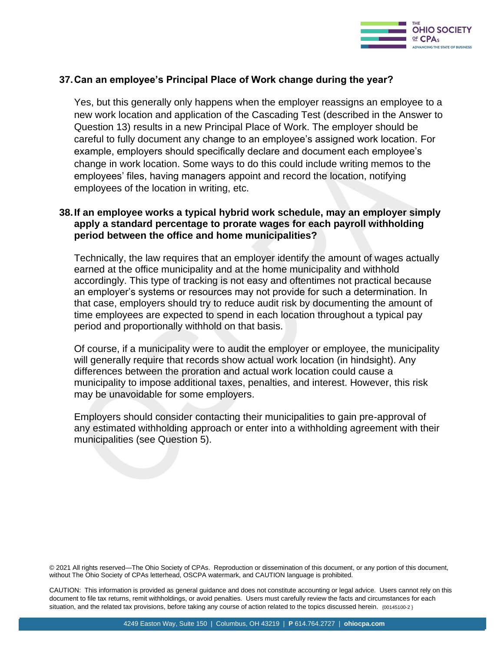

#### **37.Can an employee's Principal Place of Work change during the year?**

Yes, but this generally only happens when the employer reassigns an employee to a new work location and application of the Cascading Test (described in the Answer to Question 13) results in a new Principal Place of Work. The employer should be careful to fully document any change to an employee's assigned work location. For example, employers should specifically declare and document each employee's change in work location. Some ways to do this could include writing memos to the employees' files, having managers appoint and record the location, notifying employees of the location in writing, etc.

#### **38.If an employee works a typical hybrid work schedule, may an employer simply apply a standard percentage to prorate wages for each payroll withholding period between the office and home municipalities?**

Technically, the law requires that an employer identify the amount of wages actually earned at the office municipality and at the home municipality and withhold accordingly. This type of tracking is not easy and oftentimes not practical because an employer's systems or resources may not provide for such a determination. In that case, employers should try to reduce audit risk by documenting the amount of time employees are expected to spend in each location throughout a typical pay period and proportionally withhold on that basis.

Of course, if a municipality were to audit the employer or employee, the municipality will generally require that records show actual work location (in hindsight). Any differences between the proration and actual work location could cause a municipality to impose additional taxes, penalties, and interest. However, this risk may be unavoidable for some employers.

Employers should consider contacting their municipalities to gain pre-approval of any estimated withholding approach or enter into a withholding agreement with their municipalities (see Question 5).

@ 2021 All rights reserved—The Ohio Society of CPAs. Reproduction or dissemination of this document, or any portion of this document, without The Ohio Society of CPAs letterhead, OSCPA watermark, and CAUTION language is prohibited. without The Ohio Society of CPAs letterhead, OSCPA watermark, and CAUTION language is prohibited.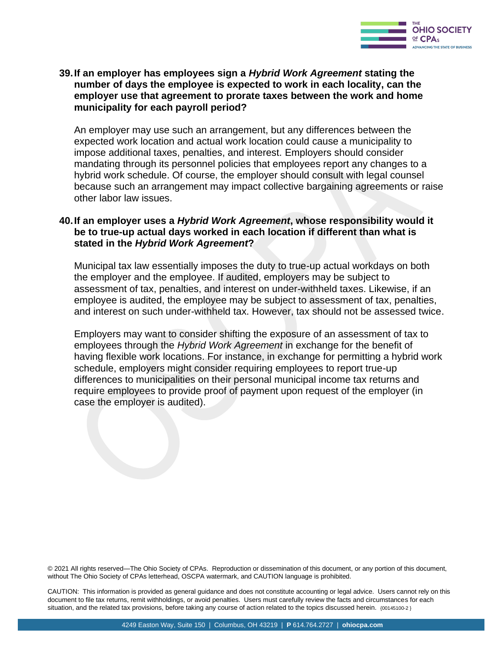

#### **39.If an employer has employees sign a** *Hybrid Work Agreement* **stating the number of days the employee is expected to work in each locality, can the employer use that agreement to prorate taxes between the work and home municipality for each payroll period?**

An employer may use such an arrangement, but any differences between the expected work location and actual work location could cause a municipality to impose additional taxes, penalties, and interest. Employers should consider mandating through its personnel policies that employees report any changes to a hybrid work schedule. Of course, the employer should consult with legal counsel because such an arrangement may impact collective bargaining agreements or raise other labor law issues.

#### **40.If an employer uses a** *Hybrid Work Agreement***, whose responsibility would it be to true-up actual days worked in each location if different than what is stated in the** *Hybrid Work Agreement***?**

Municipal tax law essentially imposes the duty to true-up actual workdays on both the employer and the employee. If audited, employers may be subject to assessment of tax, penalties, and interest on under-withheld taxes. Likewise, if an employee is audited, the employee may be subject to assessment of tax, penalties, and interest on such under-withheld tax. However, tax should not be assessed twice.

Employers may want to consider shifting the exposure of an assessment of tax to employees through the *Hybrid Work Agreement* in exchange for the benefit of having flexible work locations. For instance, in exchange for permitting a hybrid work schedule, employers might consider requiring employees to report true-up differences to municipalities on their personal municipal income tax returns and require employees to provide proof of payment upon request of the employer (in case the employer is audited).

© 2021 All rights reserved—The Ohio Society of CPAs. Reproduction or dissemination of this document, or any portion of this document, without The Ohio Society of CPAs letterhead, OSCPA watermark, and CAUTION language is prohibited.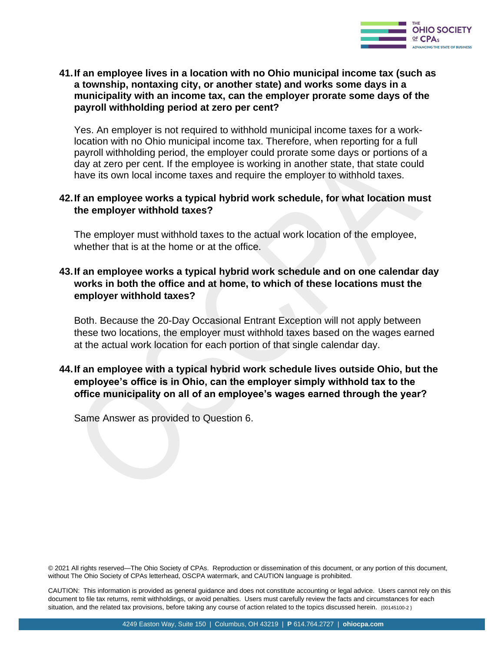

#### **41.If an employee lives in a location with no Ohio municipal income tax (such as a township, nontaxing city, or another state) and works some days in a municipality with an income tax, can the employer prorate some days of the payroll withholding period at zero per cent?**

Yes. An employer is not required to withhold municipal income taxes for a worklocation with no Ohio municipal income tax. Therefore, when reporting for a full payroll withholding period, the employer could prorate some days or portions of a day at zero per cent. If the employee is working in another state, that state could have its own local income taxes and require the employer to withhold taxes.

#### **42.If an employee works a typical hybrid work schedule, for what location must the employer withhold taxes?**

The employer must withhold taxes to the actual work location of the employee, whether that is at the home or at the office.

#### **43.If an employee works a typical hybrid work schedule and on one calendar day works in both the office and at home, to which of these locations must the employer withhold taxes?**

Both. Because the 20-Day Occasional Entrant Exception will not apply between these two locations, the employer must withhold taxes based on the wages earned at the actual work location for each portion of that single calendar day.

#### **44.If an employee with a typical hybrid work schedule lives outside Ohio, but the employee's office is in Ohio, can the employer simply withhold tax to the office municipality on all of an employee's wages earned through the year?**

Same Answer as provided to Question 6.

© 2021 All rights reserved—The Ohio Society of CPAs. Reproduction or dissemination of this document, or any portion of this document, without The Ohio Society of CPAs letterhead, OSCPA watermark, and CAUTION language is prohibited.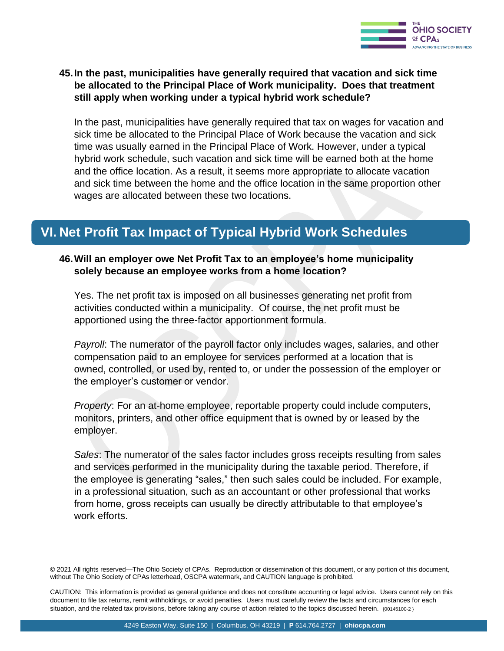

#### **45.In the past, municipalities have generally required that vacation and sick time be allocated to the Principal Place of Work municipality. Does that treatment still apply when working under a typical hybrid work schedule?**

In the past, municipalities have generally required that tax on wages for vacation and sick time be allocated to the Principal Place of Work because the vacation and sick time was usually earned in the Principal Place of Work. However, under a typical hybrid work schedule, such vacation and sick time will be earned both at the home and the office location. As a result, it seems more appropriate to allocate vacation and sick time between the home and the office location in the same proportion other wages are allocated between these two locations.

# **VI. Net Profit Tax Impact of Typical Hybrid Work Schedules**

#### **46.Will an employer owe Net Profit Tax to an employee's home municipality solely because an employee works from a home location?**

Yes. The net profit tax is imposed on all businesses generating net profit from activities conducted within a municipality. Of course, the net profit must be apportioned using the three-factor apportionment formula.

*Payroll*: The numerator of the payroll factor only includes wages, salaries, and other compensation paid to an employee for services performed at a location that is owned, controlled, or used by, rented to, or under the possession of the employer or the employer's customer or vendor.

*Property*: For an at-home employee, reportable property could include computers, monitors, printers, and other office equipment that is owned by or leased by the employer.

*Sales*: The numerator of the sales factor includes gross receipts resulting from sales and services performed in the municipality during the taxable period. Therefore, if the employee is generating "sales," then such sales could be included. For example, in a professional situation, such as an accountant or other professional that works from home, gross receipts can usually be directly attributable to that employee's work efforts.

© 2021 All rights reserved—The Ohio Society of CPAs. Reproduction or dissemination of this document, or any portion of this document, without The Ohio Society of CPAs letterhead, OSCPA watermark, and CAUTION language is prohibited.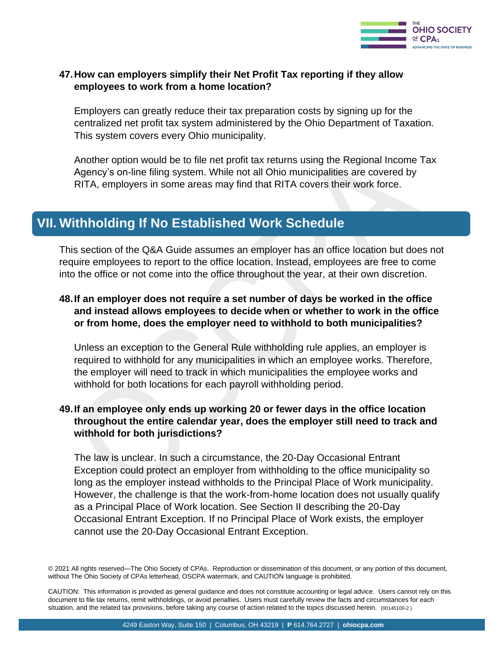

#### **47.How can employers simplify their Net Profit Tax reporting if they allow employees to work from a home location?**

Employers can greatly reduce their tax preparation costs by signing up for the centralized net profit tax system administered by the Ohio Department of Taxation. This system covers every Ohio municipality.

Another option would be to file net profit tax returns using the Regional Income Tax Agency's on-line filing system. While not all Ohio municipalities are covered by RITA, employers in some areas may find that RITA covers their work force.

## **VII. Withholding If No Established Work Schedule**

This section of the Q&A Guide assumes an employer has an office location but does not require employees to report to the office location. Instead, employees are free to come into the office or not come into the office throughout the year, at their own discretion.

#### **48.If an employer does not require a set number of days be worked in the office and instead allows employees to decide when or whether to work in the office or from home, does the employer need to withhold to both municipalities?**

Unless an exception to the General Rule withholding rule applies, an employer is required to withhold for any municipalities in which an employee works. Therefore, the employer will need to track in which municipalities the employee works and withhold for both locations for each payroll withholding period.

#### **49.If an employee only ends up working 20 or fewer days in the office location throughout the entire calendar year, does the employer still need to track and withhold for both jurisdictions?**

The law is unclear. In such a circumstance, the 20-Day Occasional Entrant Exception could protect an employer from withholding to the office municipality so long as the employer instead withholds to the Principal Place of Work municipality. However, the challenge is that the work-from-home location does not usually qualify as a Principal Place of Work location. See Section II describing the 20-Day Occasional Entrant Exception. If no Principal Place of Work exists, the employer cannot use the 20-Day Occasional Entrant Exception.

<sup>© 2021</sup> All rights reserved—The Ohio Society of CPAs. Reproduction or dissemination of this document, or any portion of this document, without The Ohio Society of CPAs letterhead, OSCPA watermark, and CAUTION language is prohibited.

CAUTION: This information is provided as general guidance and does not constitute accounting or legal advice. Users cannot rely on this document to file tax returns, remit withholdings, or avoid penalties. Users must carefully review the facts and circumstances for each situation, and the related tax provisions, before taking any course of action related to the topics discussed herein.  $(00145100-2)$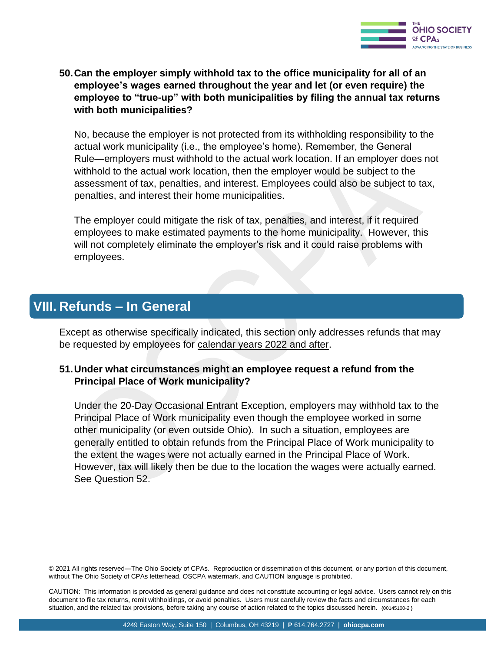

#### **50.Can the employer simply withhold tax to the office municipality for all of an employee's wages earned throughout the year and let (or even require) the employee to "true-up" with both municipalities by filing the annual tax returns with both municipalities?**

No, because the employer is not protected from its withholding responsibility to the actual work municipality (i.e., the employee's home). Remember, the General Rule—employers must withhold to the actual work location. If an employer does not withhold to the actual work location, then the employer would be subject to the assessment of tax, penalties, and interest. Employees could also be subject to tax, penalties, and interest their home municipalities.

The employer could mitigate the risk of tax, penalties, and interest, if it required employees to make estimated payments to the home municipality. However, this will not completely eliminate the employer's risk and it could raise problems with employees.

## **VIII. Refunds – In General**

Except as otherwise specifically indicated, this section only addresses refunds that may be requested by employees for calendar years 2022 and after.

#### **51.Under what circumstances might an employee request a refund from the Principal Place of Work municipality?**

Under the 20-Day Occasional Entrant Exception, employers may withhold tax to the Principal Place of Work municipality even though the employee worked in some other municipality (or even outside Ohio). In such a situation, employees are generally entitled to obtain refunds from the Principal Place of Work municipality to the extent the wages were not actually earned in the Principal Place of Work. However, tax will likely then be due to the location the wages were actually earned. See Question 52.

© 2021 All rights reserved—The Ohio Society of CPAs. Reproduction or dissemination of this document, or any portion of this document, without The Ohio Society of CPAs letterhead, OSCPA watermark, and CAUTION language is prohibited.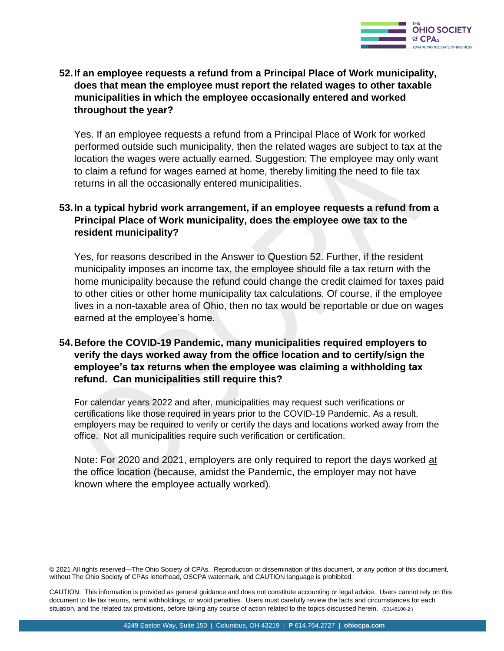

#### **52.If an employee requests a refund from a Principal Place of Work municipality, does that mean the employee must report the related wages to other taxable municipalities in which the employee occasionally entered and worked throughout the year?**

Yes. If an employee requests a refund from a Principal Place of Work for worked performed outside such municipality, then the related wages are subject to tax at the location the wages were actually earned. Suggestion: The employee may only want to claim a refund for wages earned at home, thereby limiting the need to file tax returns in all the occasionally entered municipalities.

#### **53.In a typical hybrid work arrangement, if an employee requests a refund from a Principal Place of Work municipality, does the employee owe tax to the resident municipality?**

Yes, for reasons described in the Answer to Question 52. Further, if the resident municipality imposes an income tax, the employee should file a tax return with the home municipality because the refund could change the credit claimed for taxes paid to other cities or other home municipality tax calculations. Of course, if the employee lives in a non-taxable area of Ohio, then no tax would be reportable or due on wages earned at the employee's home.

#### **54.Before the COVID-19 Pandemic, many municipalities required employers to verify the days worked away from the office location and to certify/sign the employee's tax returns when the employee was claiming a withholding tax refund. Can municipalities still require this?**

For calendar years 2022 and after, municipalities may request such verifications or certifications like those required in years prior to the COVID-19 Pandemic. As a result, employers may be required to verify or certify the days and locations worked away from the office. Not all municipalities require such verification or certification.

Note: For 2020 and 2021, employers are only required to report the days worked at the office location (because, amidst the Pandemic, the employer may not have known where the employee actually worked).

© 2021 All rights reserved—The Ohio Society of CPAs. Reproduction or dissemination of this document, or any portion of this document,<br>without The Ohio Society of CPAs letterhead, OSCPA watermark, and CAUTION language is pr without The Ohio Society of CPAs letterhead, OSCPA watermark, and CAUTION language is prohibited.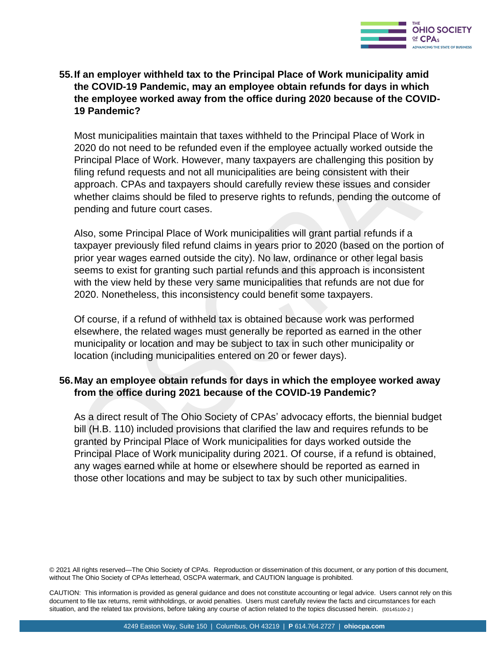

#### **55.If an employer withheld tax to the Principal Place of Work municipality amid the COVID-19 Pandemic, may an employee obtain refunds for days in which the employee worked away from the office during 2020 because of the COVID-19 Pandemic?**

Most municipalities maintain that taxes withheld to the Principal Place of Work in 2020 do not need to be refunded even if the employee actually worked outside the Principal Place of Work. However, many taxpayers are challenging this position by filing refund requests and not all municipalities are being consistent with their approach. CPAs and taxpayers should carefully review these issues and consider whether claims should be filed to preserve rights to refunds, pending the outcome of pending and future court cases.

Also, some Principal Place of Work municipalities will grant partial refunds if a taxpayer previously filed refund claims in years prior to 2020 (based on the portion of prior year wages earned outside the city). No law, ordinance or other legal basis seems to exist for granting such partial refunds and this approach is inconsistent with the view held by these very same municipalities that refunds are not due for 2020. Nonetheless, this inconsistency could benefit some taxpayers.

Of course, if a refund of withheld tax is obtained because work was performed elsewhere, the related wages must generally be reported as earned in the other municipality or location and may be subject to tax in such other municipality or location (including municipalities entered on 20 or fewer days).

#### **56.May an employee obtain refunds for days in which the employee worked away from the office during 2021 because of the COVID-19 Pandemic?**

As a direct result of The Ohio Society of CPAs' advocacy efforts, the biennial budget bill (H.B. 110) included provisions that clarified the law and requires refunds to be granted by Principal Place of Work municipalities for days worked outside the Principal Place of Work municipality during 2021. Of course, if a refund is obtained, any wages earned while at home or elsewhere should be reported as earned in those other locations and may be subject to tax by such other municipalities.

© 2021 All rights reserved—The Ohio Society of CPAs. Reproduction or dissemination of this document, or any portion of this document, without The Ohio Society of CPAs letterhead, OSCPA watermark, and CAUTION language is prohibited.